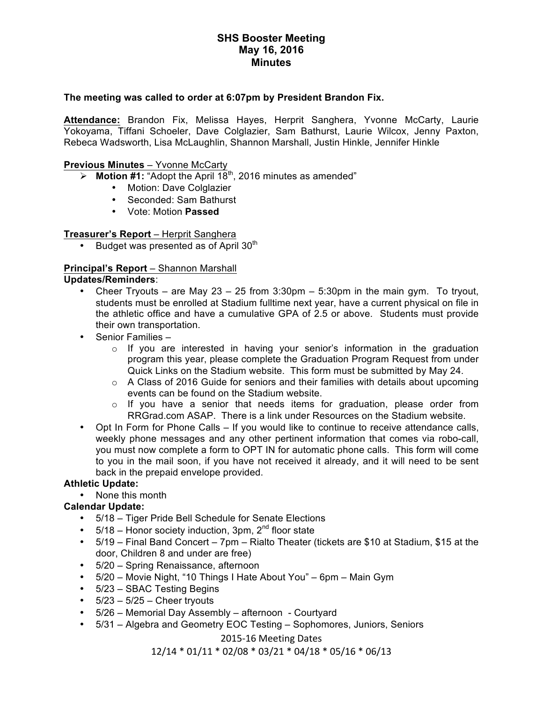# **SHS Booster Meeting May 16, 2016 Minutes**

### **The meeting was called to order at 6:07pm by President Brandon Fix.**

**Attendance:** Brandon Fix, Melissa Hayes, Herprit Sanghera, Yvonne McCarty, Laurie Yokoyama, Tiffani Schoeler, Dave Colglazier, Sam Bathurst, Laurie Wilcox, Jenny Paxton, Rebeca Wadsworth, Lisa McLaughlin, Shannon Marshall, Justin Hinkle, Jennifer Hinkle

### **Previous Minutes** – Yvonne McCarty

 $\triangleright$  **Motion #1:** "Adopt the April 18<sup>th</sup>, 2016 minutes as amended"

- Motion: Dave Colglazier
- Seconded: Sam Bathurst
- Vote: Motion **Passed**

# **Treasurer's Report** – Herprit Sanghera

Budget was presented as of April 30<sup>th</sup>

#### **Principal's Report** – Shannon Marshall **Updates/Reminders**:

- Cheer Tryouts are May  $23 25$  from  $3:30 \text{pm} 5:30 \text{pm}$  in the main gym. To tryout, students must be enrolled at Stadium fulltime next year, have a current physical on file in the athletic office and have a cumulative GPA of 2.5 or above. Students must provide their own transportation.
- Senior Families
	- o If you are interested in having your senior's information in the graduation program this year, please complete the Graduation Program Request from under Quick Links on the Stadium website. This form must be submitted by May 24.
	- $\circ$  A Class of 2016 Guide for seniors and their families with details about upcoming events can be found on the Stadium website.
	- $\circ$  If you have a senior that needs items for graduation, please order from RRGrad.com ASAP. There is a link under Resources on the Stadium website.
- Opt In Form for Phone Calls If you would like to continue to receive attendance calls, weekly phone messages and any other pertinent information that comes via robo-call, you must now complete a form to OPT IN for automatic phone calls. This form will come to you in the mail soon, if you have not received it already, and it will need to be sent back in the prepaid envelope provided.

### **Athletic Update:**

• None this month

### **Calendar Update:**

- 5/18 Tiger Pride Bell Schedule for Senate Elections
- $5/18$  Honor society induction, 3pm,  $2<sup>nd</sup>$  floor state
- 5/19 Final Band Concert 7pm Rialto Theater (tickets are \$10 at Stadium, \$15 at the door, Children 8 and under are free)
- 5/20 Spring Renaissance, afternoon
- 5/20 Movie Night, "10 Things I Hate About You" 6pm Main Gym
- 5/23 SBAC Testing Begins
- $\cdot$  5/23 5/25 Cheer tryouts
- 5/26 Memorial Day Assembly afternoon Courtyard
- 5/31 Algebra and Geometry EOC Testing Sophomores, Juniors, Seniors

2015-16 Meeting Dates

 $12/14 * 01/11 * 02/08 * 03/21 * 04/18 * 05/16 * 06/13$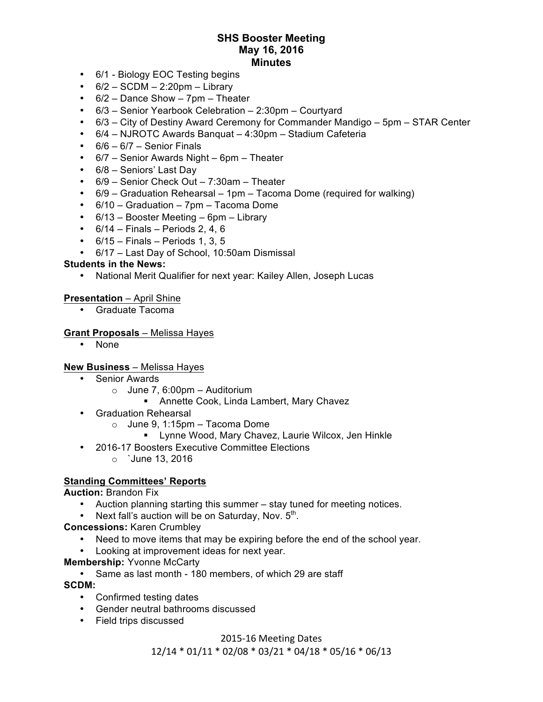# **SHS Booster Meeting May 16, 2016 Minutes**

- 6/1 Biology EOC Testing begins
- $\cdot$  6/2 SCDM 2:20pm Library
- 6/2 Dance Show 7pm Theater
- 6/3 Senior Yearbook Celebration 2:30pm Courtyard
- 6/3 City of Destiny Award Ceremony for Commander Mandigo 5pm STAR Center
- 6/4 NJROTC Awards Banquat 4:30pm Stadium Cafeteria
- $\cdot$  6/6 6/7 Senior Finals
- 6/7 Senior Awards Night 6pm Theater
- 6/8 Seniors' Last Day
- 6/9 Senior Check Out 7:30am Theater
- 6/9 Graduation Rehearsal 1pm Tacoma Dome (required for walking)
- 6/10 Graduation 7pm Tacoma Dome
- 6/13 Booster Meeting 6pm Library
- $\cdot$  6/14 Finals Periods 2, 4, 6
- $\cdot$  6/15 Finals Periods 1, 3, 5
- 6/17 Last Day of School, 10:50am Dismissal

#### **Students in the News:**

• National Merit Qualifier for next year: Kailey Allen, Joseph Lucas

#### **Presentation** – April Shine

• Graduate Tacoma

#### **Grant Proposals** – Melissa Hayes

• None

#### **New Business** – Melissa Hayes

- Senior Awards
	- $\circ$  June 7, 6:00pm Auditorium
		- **Annette Cook, Linda Lambert, Mary Chavez**
- Graduation Rehearsal
	- $\circ$  June 9, 1:15pm Tacoma Dome
		- " Lynne Wood, Mary Chavez, Laurie Wilcox, Jen Hinkle
- 2016-17 Boosters Executive Committee Elections
	- o `June 13, 2016

### **Standing Committees' Reports**

**Auction:** Brandon Fix

- Auction planning starting this summer stay tuned for meeting notices.
- Next fall's auction will be on Saturday, Nov.  $5<sup>th</sup>$ .

**Concessions:** Karen Crumbley

- Need to move items that may be expiring before the end of the school year.
- Looking at improvement ideas for next year.
- **Membership:** Yvonne McCarty
	- Same as last month 180 members, of which 29 are staff

**SCDM:**

- Confirmed testing dates
- Gender neutral bathrooms discussed
- Field trips discussed

#### 2015-16 Meeting Dates

12/14 \* 01/11 \* 02/08 \* 03/21 \* 04/18 \* 05/16 \* 06/13